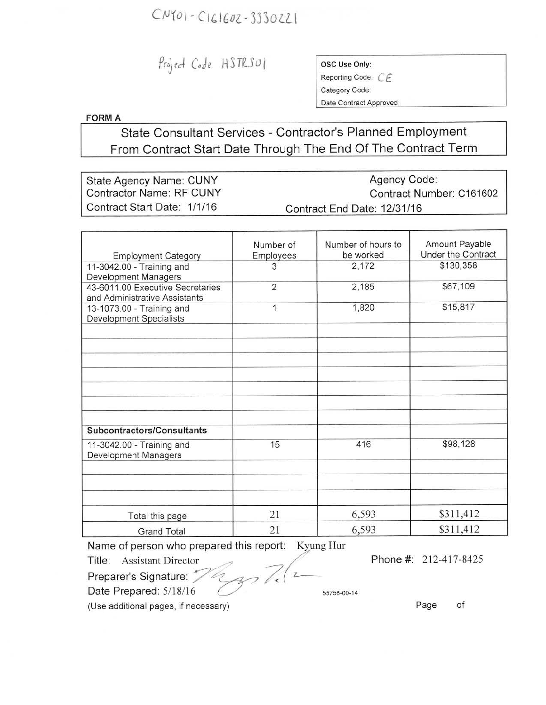## $CNI01 - C161602 - 3330221$

Project Code HSTRS01

| OSC Use Only:           |
|-------------------------|
| Reporting Code: C       |
| Category Code:          |
| Date Contract Approved: |

**FORMA**

State Consultant Services - Contractor's Planned Employment From Contract Start Date Through The End Of The Contract Term

State Agency Name: CUNY Contractor Name: RF CUNY Contract Start Date: *1/1/16* Agency Code: Contract Number: C161602 Contract End Date: *12131/16*

| <b>Employment Category</b>                                        | Number of<br>Employees | Number of hours to<br>be worked | Amount Payable<br>Under the Contract |
|-------------------------------------------------------------------|------------------------|---------------------------------|--------------------------------------|
| 11-3042.00 - Training and<br>Development Managers                 | 3                      | 2,172                           | \$130,358                            |
| 43-6011.00 Executive Secretaries<br>and Administrative Assistants | $\overline{2}$         | 2,185                           | \$67,109                             |
| 13-1073.00 - Training and<br><b>Development Specialists</b>       | 1                      | 1,820                           | \$15,817                             |
|                                                                   |                        |                                 |                                      |
|                                                                   |                        |                                 |                                      |
|                                                                   |                        |                                 |                                      |
|                                                                   |                        |                                 |                                      |
| Subcontractors/Consultants                                        |                        |                                 |                                      |
| 11-3042.00 - Training and<br>Development Managers                 | 15                     | 416                             | \$98,128                             |
|                                                                   |                        |                                 |                                      |
|                                                                   |                        |                                 |                                      |
| Total this page                                                   | 21                     | 6,593                           | \$311,412                            |
| <b>Grand Total</b>                                                | 21                     | 6,593                           | \$311,412                            |

Name of person who prepared this report: Kyung Hur

Title: Assistant Director<br>Preparer's Signature: //2

Phone #: 212-417-8425

Preparer's Signature: 74

Date Prepared:  $5/18/16$  ///  $55756-00-14$ 

(Use additional pages, if necessary)

Page of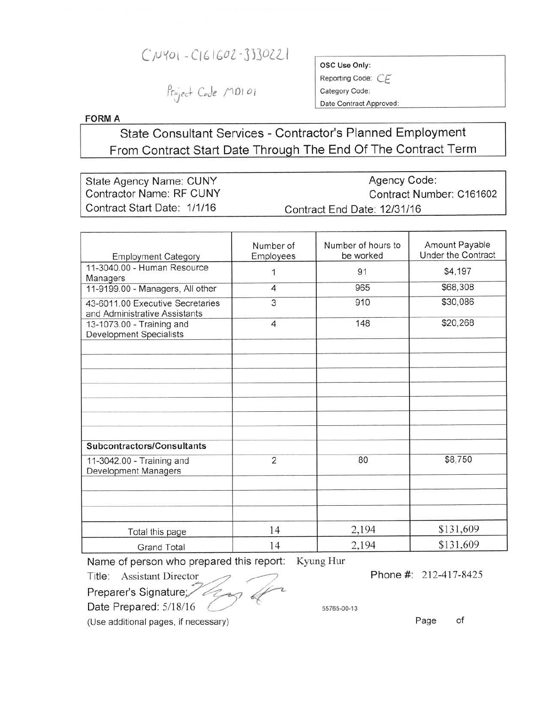## $CNU01 - C161602 - 3330221$

Project Code MDI 01

ose Use Only:

Reporting Code: CE Category Code:

Date Contract Approved:

**FORM A** 

## State Consultant Services - Contractor's Planned Employment From Contract Start Date Through The End Of The Contract Term

| State Agency Name: CUNY         | Agency Code:                |  |
|---------------------------------|-----------------------------|--|
| <b>Contractor Name: RF CUNY</b> | Contract Number: C161602    |  |
| Contract Start Date: 1/1/16     | Contract End Date: 12/31/16 |  |

| <b>Employment Category</b>                                        | Number of<br>Employees | Number of hours to<br>be worked | Amount Payable<br><b>Under the Contract</b> |
|-------------------------------------------------------------------|------------------------|---------------------------------|---------------------------------------------|
| 11-3040.00 - Human Resource<br>Managers                           | 1                      | 91                              | \$4,197                                     |
| 11-9199.00 - Managers, All other                                  | $\overline{4}$         | 965                             | \$68,308                                    |
| 43-6011.00 Executive Secretaries<br>and Administrative Assistants | 3                      | 910                             | \$30,086                                    |
| 13-1073.00 - Training and<br><b>Development Specialists</b>       | $\overline{4}$         | 148                             | \$20,268                                    |
|                                                                   |                        |                                 |                                             |
|                                                                   |                        |                                 |                                             |
|                                                                   |                        |                                 |                                             |
|                                                                   |                        |                                 |                                             |
| Subcontractors/Consultants                                        |                        |                                 |                                             |
| 11-3042.00 - Training and<br>Development Managers                 | $\overline{2}$         | 80                              | \$8,750                                     |
|                                                                   |                        |                                 |                                             |
| Total this page                                                   | 14                     | 2,194                           | \$131,609                                   |
| <b>Grand Total</b>                                                | 14                     | 2,194                           | \$131,609                                   |

Name of person who prepared this report: Kyung Hur

Title: Assistant Director

Preparer's Signature Date Prepared:  $5/18/16$ 

55765-00-13

(Use additional pages, if necessary)

Page of

Phone #: 212-417-8425